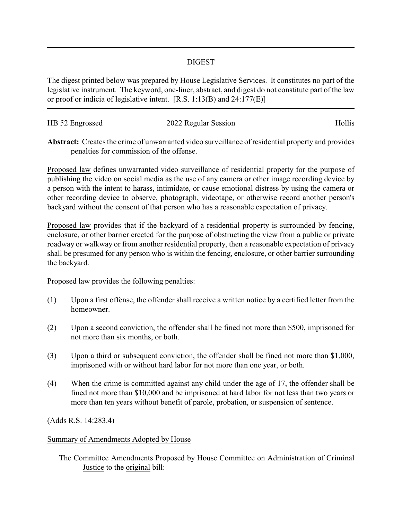## DIGEST

The digest printed below was prepared by House Legislative Services. It constitutes no part of the legislative instrument. The keyword, one-liner, abstract, and digest do not constitute part of the law or proof or indicia of legislative intent. [R.S. 1:13(B) and 24:177(E)]

| HB 52 Engrossed | 2022 Regular Session | Hollis |
|-----------------|----------------------|--------|
|                 |                      |        |

**Abstract:** Creates the crime of unwarranted video surveillance of residential property and provides penalties for commission of the offense.

Proposed law defines unwarranted video surveillance of residential property for the purpose of publishing the video on social media as the use of any camera or other image recording device by a person with the intent to harass, intimidate, or cause emotional distress by using the camera or other recording device to observe, photograph, videotape, or otherwise record another person's backyard without the consent of that person who has a reasonable expectation of privacy.

Proposed law provides that if the backyard of a residential property is surrounded by fencing, enclosure, or other barrier erected for the purpose of obstructing the view from a public or private roadway or walkway or from another residential property, then a reasonable expectation of privacy shall be presumed for any person who is within the fencing, enclosure, or other barrier surrounding the backyard.

Proposed law provides the following penalties:

- (1) Upon a first offense, the offender shall receive a written notice by a certified letter from the homeowner.
- (2) Upon a second conviction, the offender shall be fined not more than \$500, imprisoned for not more than six months, or both.
- (3) Upon a third or subsequent conviction, the offender shall be fined not more than \$1,000, imprisoned with or without hard labor for not more than one year, or both.
- (4) When the crime is committed against any child under the age of 17, the offender shall be fined not more than \$10,000 and be imprisoned at hard labor for not less than two years or more than ten years without benefit of parole, probation, or suspension of sentence.

(Adds R.S. 14:283.4)

## Summary of Amendments Adopted by House

The Committee Amendments Proposed by House Committee on Administration of Criminal Justice to the original bill: